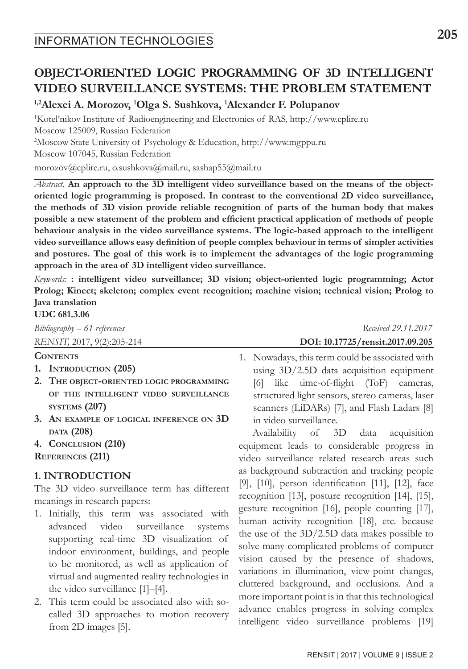# **OBJECT-ORIENTED LOGIC PROGRAMMING OF 3D INTELLIGENT VIDEO SURVEILLANCE SYSTEMS: THE PROBLEM STATEMENT**

**1,2Alexei A. Morozov, 1 Olga S. Sushkova, 1 Alexander F. Polupanov**

1 Kotel'nikov Institute of Radioengineering and Electronics of RAS, http://www.cplire.ru Moscow 125009, Russian Federation 2 Moscow State University of Psychology & Education, http://www.mgppu.ru Moscow 107045, Russian Federation

morozov@cplire.ru, o.sushkova@mail.ru, sashap55@mail.ru

*Abstract.* **An approach to the 3D intelligent video surveillance based on the means of the objectoriented logic programming is proposed. In contrast to the conventional 2D video surveillance, the methods of 3D vision provide reliable recognition of parts of the human body that makes possible a new statement of the problem and efficient practical application of methods of people behaviour analysis in the video surveillance systems. The logic-based approach to the intelligent video surveillance allows easy definition of people complex behaviour in terms of simpler activities and postures. The goal of this work is to implement the advantages of the logic programming approach in the area of 3D intelligent video surveillance.**

*Keywords:* **: intelligent video surveillance; 3D vision; object-oriented logic programming; Actor Prolog; Kinect; skeleton; complex event recognition; machine vision; technical vision; Prolog to Java translation**

**UDC 681.3.06**

#### **Contents**

- **1. Introduction (205)**
- **2. The object-oriented logic programming of the intelligent video surveillance systems (207)**
- **3. An example of logical inference on 3D data (208)**
- **4. Conclusion (210)**
- **References (211)**

### **1. INTRODUCTION**

The 3D video surveillance term has different meanings in research papers:

- 1. Initially, this term was associated with advanced video surveillance systems supporting real-time 3D visualization of indoor environment, buildings, and people to be monitored, as well as application of virtual and augmented reality technologies in the video surveillance [1]–[4].
- 2. This term could be associated also with socalled 3D approaches to motion recovery from 2D images [5].

*Bibliography* – 61 references **Received 29.11.2017** *RENSIT,* 2017, 9(2):205-214**DOI: 10.17725/rensit.2017.09.205**

> 1. Nowadays, this term could be associated with using 3D/2.5D data acquisition equipment [6] like time-of-flight (ToF) cameras, structured light sensors, stereo cameras, laser scanners (LiDARs) [7], and Flash Ladars [8] in video surveillance.

> Availability of 3D data acquisition equipment leads to considerable progress in video surveillance related research areas such as background subtraction and tracking people [9], [10], person identification [11], [12], face recognition [13], posture recognition [14], [15], gesture recognition [16], people counting [17], human activity recognition [18], etc. because the use of the 3D/2.5D data makes possible to solve many complicated problems of computer vision caused by the presence of shadows, variations in illumination, view-point changes, cluttered background, and occlusions. And a more important point is in that this technological advance enables progress in solving complex intelligent video surveillance problems [19]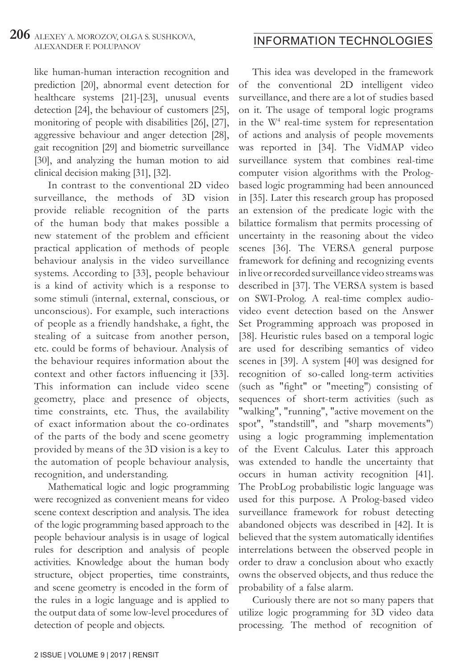like human-human interaction recognition and prediction [20], abnormal event detection for healthcare systems [21]-[23], unusual events detection [24], the behaviour of customers [25], monitoring of people with disabilities [26], [27], aggressive behaviour and anger detection [28], gait recognition [29] and biometric surveillance [30], and analyzing the human motion to aid clinical decision making [31], [32].

In contrast to the conventional 2D video surveillance, the methods of 3D vision provide reliable recognition of the parts of the human body that makes possible a new statement of the problem and efficient practical application of methods of people behaviour analysis in the video surveillance systems. According to [33], people behaviour is a kind of activity which is a response to some stimuli (internal, external, conscious, or unconscious). For example, such interactions of people as a friendly handshake, a fight, the stealing of a suitcase from another person, etc. could be forms of behaviour. Analysis of the behaviour requires information about the context and other factors influencing it [33]. This information can include video scene geometry, place and presence of objects, time constraints, etc. Thus, the availability of exact information about the co-ordinates of the parts of the body and scene geometry provided by means of the 3D vision is a key to the automation of people behaviour analysis, recognition, and understanding.

Mathematical logic and logic programming were recognized as convenient means for video scene context description and analysis. The idea of the logic programming based approach to the people behaviour analysis is in usage of logical rules for description and analysis of people activities. Knowledge about the human body structure, object properties, time constraints, and scene geometry is encoded in the form of the rules in a logic language and is applied to the output data of some low-level procedures of detection of people and objects.

This idea was developed in the framework of the conventional 2D intelligent video surveillance, and there are a lot of studies based on it. The usage of temporal logic programs in the W<sup>4</sup> real-time system for representation of actions and analysis of people movements was reported in [34]. The VidMAP video surveillance system that combines real-time computer vision algorithms with the Prologbased logic programming had been announced in [35]. Later this research group has proposed an extension of the predicate logic with the bilattice formalism that permits processing of uncertainty in the reasoning about the video scenes [36]. The VERSA general purpose framework for defining and recognizing events in live or recorded surveillance video streams was described in [37]. The VERSA system is based on SWI-Prolog. A real-time complex audiovideo event detection based on the Answer Set Programming approach was proposed in [38]. Heuristic rules based on a temporal logic are used for describing semantics of video scenes in [39]. A system [40] was designed for recognition of so-called long-term activities (such as "fight" or "meeting") consisting of sequences of short-term activities (such as "walking", "running", "active movement on the spot", "standstill", and "sharp movements") using a logic programming implementation of the Event Calculus. Later this approach was extended to handle the uncertainty that occurs in human activity recognition [41]. The ProbLog probabilistic logic language was used for this purpose. A Prolog-based video surveillance framework for robust detecting abandoned objects was described in [42]. It is believed that the system automatically identifies interrelations between the observed people in order to draw a conclusion about who exactly owns the observed objects, and thus reduce the probability of a false alarm.

Curiously there are not so many papers that utilize logic programming for 3D video data processing. The method of recognition of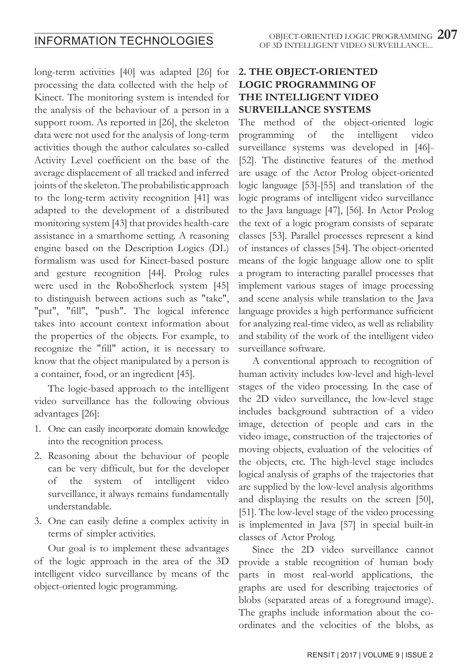long-term activities [40] was adapted [26] for processing the data collected with the help of Kinect. The monitoring system is intended for the analysis of the behaviour of a person in a support room. As reported in [26], the skeleton data were not used for the analysis of long-term activities though the author calculates so-called Activity Level coefficient on the base of the average displacement of all tracked and inferred joints of the skeleton. The probabilistic approach to the long-term activity recognition [41] was adapted to the development of a distributed monitoring system [43] that provides health-care assistance in a smarthome setting. A reasoning engine based on the Description Logics (DL) formalism was used for Kinect-based posture and gesture recognition [44]. Prolog rules were used in the RoboSherlock system [45] to distinguish between actions such as "take", "put", "fill", "push". The logical inference takes into account context information about the properties of the objects. For example, to recognize the "fill" action, it is necessary to know that the object manipulated by a person is a container, food, or an ingredient [45].

The logic-based approach to the intelligent video surveillance has the following obvious advantages [26]:

- 1. One can easily incorporate domain knowledge into the recognition process.
- 2. Reasoning about the behaviour of people can be very difficult, but for the developer of the system of intelligent video surveillance, it always remains fundamentally understandable.
- 3. One can easily define a complex activity in terms of simpler activities.

Our goal is to implement these advantages of the logic approach in the area of the 3D intelligent video surveillance by means of the object-oriented logic programming.

### **2. THE OBJECT-ORIENTED LOGIC PROGRAMMING OF THE INTELLIGENT VIDEO SURVEILLANCE SYSTEMS**

The method of the object-oriented logic programming of the intelligent video surveillance systems was developed in [46]- [52]. The distinctive features of the method are usage of the Actor Prolog object-oriented logic language [53]-[55] and translation of the logic programs of intelligent video surveillance to the Java language [47], [56]. In Actor Prolog the text of a logic program consists of separate classes [53]. Parallel processes represent a kind of instances of classes [54]. The object-oriented means of the logic language allow one to split a program to interacting parallel processes that implement various stages of image processing and scene analysis while translation to the Java language provides a high performance sufficient for analyzing real-time video, as well as reliability and stability of the work of the intelligent video surveillance software.

A conventional approach to recognition of human activity includes low-level and high-level stages of the video processing. In the case of the 2D video surveillance, the low-level stage includes background subtraction of a video image, detection of people and cars in the video image, construction of the trajectories of moving objects, evaluation of the velocities of the objects, etc. The high-level stage includes logical analysis of graphs of the trajectories that are supplied by the low-level analysis algorithms and displaying the results on the screen [50], [51]. The low-level stage of the video processing is implemented in Java [57] in special built-in classes of Actor Prolog.

Since the 2D video surveillance cannot provide a stable recognition of human body parts in most real-world applications, the graphs are used for describing trajectories of blobs (separated areas of a foreground image). The graphs include information about the coordinates and the velocities of the blobs, as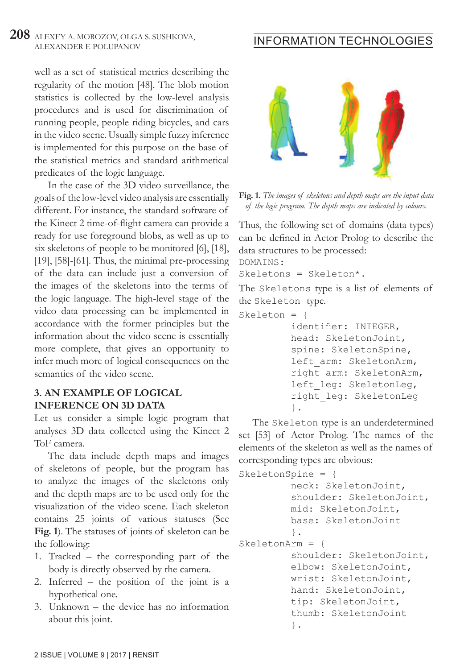# **208** ALEXEY A. MOROZOV, OLGA S. SUSHKOVA,

well as a set of statistical metrics describing the regularity of the motion [48]. The blob motion statistics is collected by the low-level analysis procedures and is used for discrimination of running people, people riding bicycles, and cars in the video scene. Usually simple fuzzy inference is implemented for this purpose on the base of the statistical metrics and standard arithmetical predicates of the logic language.

In the case of the 3D video surveillance, the goals of the low-level video analysis are essentially different. For instance, the standard software of the Kinect 2 time-of-flight camera can provide a ready for use foreground blobs, as well as up to six skeletons of people to be monitored [6], [18], [19], [58]-[61]. Thus, the minimal pre-processing of the data can include just a conversion of the images of the skeletons into the terms of the logic language. The high-level stage of the video data processing can be implemented in accordance with the former principles but the information about the video scene is essentially more complete, that gives an opportunity to infer much more of logical consequences on the semantics of the video scene.

#### **3. AN EXAMPLE OF LOGICAL INFERENCE ON 3D DATA**

Let us consider a simple logic program that analyses 3D data collected using the Kinect 2 ToF camera.

The data include depth maps and images of skeletons of people, but the program has to analyze the images of the skeletons only and the depth maps are to be used only for the visualization of the video scene. Each skeleton contains 25 joints of various statuses (See **Fig. 1**). The statuses of joints of skeleton can be the following:

- 1. Tracked the corresponding part of the body is directly observed by the camera.
- 2. Inferred the position of the joint is a hypothetical one.
- 3. Unknown the device has no information about this joint.

# ALEXEY A. MOROZOV, OLGA S. SUSHKOVA, **INFORMATION TECHNOLOGIES**



**Fig. 1.** *The images of skeletons and depth maps are the input data of the logic program. The depth maps are indicated by colours.*

Thus, the following set of domains (data types) can be defined in Actor Prolog to describe the data structures to be processed: DOMAINS:

Skeletons = Skeleton\*.

The Skeletons type is a list of elements of the Skeleton type.

```
Skeleton = {
```
 identifier: INTEGER, head: SkeletonJoint, spine: SkeletonSpine, left\_arm: SkeletonArm, right\_arm: SkeletonArm, left\_leg: SkeletonLeg, right\_leg: SkeletonLeg  $\}$ .

The Skeleton type is an underdetermined set [53] of Actor Prolog. The names of the elements of the skeleton as well as the names of corresponding types are obvious:

```
SkeletonSpine = {
          neck: SkeletonJoint,
          shoulder: SkeletonJoint,
          mid: SkeletonJoint,
          base: SkeletonJoint
           }.
SkeletonArm = {
          shoulder: SkeletonJoint,
          elbow: SkeletonJoint,
          wrist: SkeletonJoint,
          hand: SkeletonJoint,
          tip: SkeletonJoint,
          thumb: SkeletonJoint
           }.
```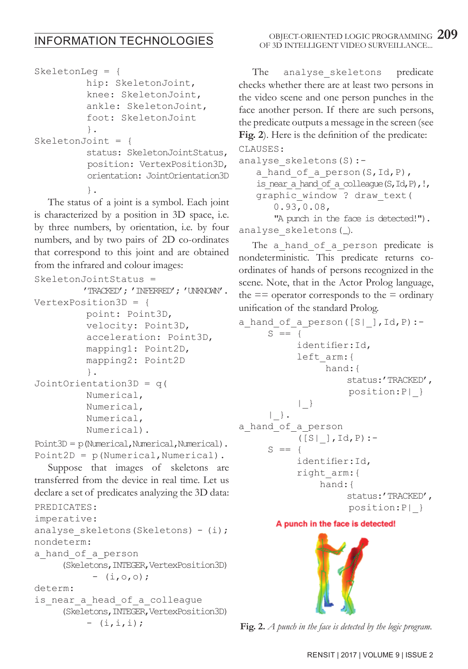# INFORMATION TECHNOLOGIES

```
SkeletonLeg = {
          hip: SkeletonJoint,
          knee: SkeletonJoint,
          ankle: SkeletonJoint,
          foot: SkeletonJoint
 }.
SkeletonJoint = {
          status: SkeletonJointStatus,
          position: VertexPosition3D,
          orientation: JointOrientation3D
 }.
```
The status of a joint is a symbol. Each joint is characterized by a position in 3D space, i.e. by three numbers, by orientation, i.e. by four numbers, and by two pairs of 2D co-ordinates that correspond to this joint and are obtained from the infrared and colour images:

```
SkeletonJointStatus =
          'TRACKED'; 'INFERRED'; 'UNKNOWN'.
VertexPosition3D = {
           point: Point3D,
           velocity: Point3D,
           acceleration: Point3D,
           mapping1: Point2D,
           mapping2: Point2D
           }.
JointOrientation3D = q(
           Numerical,
           Numerical,
           Numerical,
           Numerical).
Point3D = p(Mmerical, Numerical, Numerical).
```

```
Point2D = p(Numerical, Numerical).
```
Suppose that images of skeletons are transferred from the device in real time. Let us declare a set of predicates analyzing the 3D data:

```
PREDICATES:
imperative:
analyse skeletons(Skeletons) - (i);nondeterm:
a hand of a person
      (Skeletons,INTEGER,VertexPosition3D)
           - (i, o, o);determ:
is near a head of a colleague
      (Skeletons,INTEGER,VertexPosition3D)
          - (i, i, i);
```
The analyse skeletons predicate checks whether there are at least two persons in the video scene and one person punches in the face another person. If there are such persons, the predicate outputs a message in the screen (see **Fig. 2**). Here is the definition of the predicate:

```
CLAUSES:
analyse skeletons(S) :-
   a hand of a person(S, Id, P),
   is near a hand of a colleague(S, Id, P), !,
   graphic window ? draw text(
        0.93,0.08,
        "A punch in the face is detected!").
analyse skeletons(_).
```
The a hand of a person predicate is nondeterministic. This predicate returns coordinates of hands of persons recognized in the scene. Note, that in the Actor Prolog language, the  $==$  operator corresponds to the  $=$  ordinary unification of the standard Prolog.

```
a hand of a person([S|],Id,P):-
     S \equiv 4 identifier:Id,
            left_arm:{
                  hand:{
                     status:'TRACKED',
                       position:P|_}
            | }
      | }.
a hand of a person
            ([S|], Id, P) :-
      S = {
            identifier:Id,
            right_arm:{
                 hand:{
                     status:'TRACKED',
                       position:P|_}
```
#### A punch in the face is detected!



**Fig. 2.** *A punch in the face is detected by the logic program.*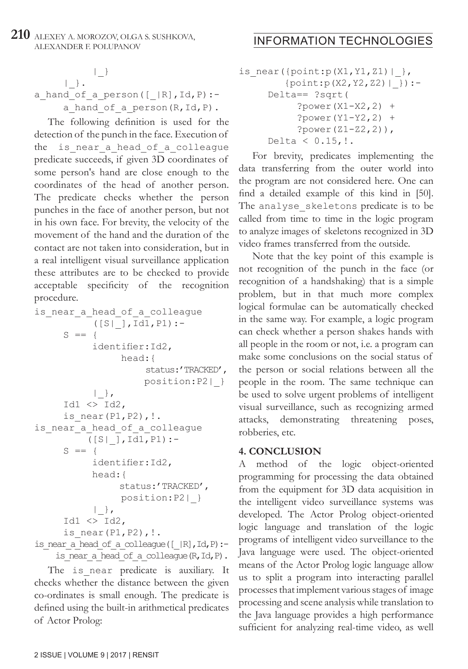#### **210** ALEXEY A. MOROZOV, OLGA S. SUSHKOVA, ALEXEY A. MOROZOV, OLGA S. SUSHKOVA, **INFORMATION TECHNOLOGIES**

#### $|$  }  $|\quad\}$ . a\_hand\_of\_a\_person([\_|R],Id,P): a hand of a person $(R,Id,P)$ .

The following definition is used for the detection of the punch in the face. Execution of the is near a head of a colleague predicate succeeds, if given 3D coordinates of some person's hand are close enough to the coordinates of the head of another person. The predicate checks whether the person punches in the face of another person, but not in his own face. For brevity, the velocity of the movement of the hand and the duration of the contact are not taken into consideration, but in a real intelligent visual surveillance application these attributes are to be checked to provide acceptable specificity of the recognition procedure.

```
is near a head of a colleague
          ([S|],Id1,PI):-S = {
            identifier:Id2,
                 head:{
                     status:'TRACKED',
                      position:P2|_}
           |,
     Id1 \iff Id2,is near(P1, P2), !.
is_near_a_head_of_a_colleague
          ([S|],Id1,P1):-
     S \equiv 4 identifier:Id2,
            head:{
                status:'TRACKED',
                 position:P2|_}
           |,
     Id1 \iff Id2,
     is near(P1, P2), !.
is near a head of a colleague([|R],Id,P):-
    is near a head of a colleague(R,Id,P).
```
The is near predicate is auxiliary. It checks whether the distance between the given co-ordinates is small enough. The predicate is defined using the built-in arithmetical predicates of Actor Prolog:

```
is near(\{point:p(X1,Y1,Z1)|\},
        {point: p(X2, Y2, Z2) | } Delta== ?sqrt(
            ?power(X1-X2,2) +
            ?power(Y1-Y2,2) +
           ?power(Z1-Z2,2)),
     Delta < 0.15, !.
```
For brevity, predicates implementing the data transferring from the outer world into the program are not considered here. One can find a detailed example of this kind in [50]. The analyse skeletons predicate is to be called from time to time in the logic program to analyze images of skeletons recognized in 3D video frames transferred from the outside.

Note that the key point of this example is not recognition of the punch in the face (or recognition of a handshaking) that is a simple problem, but in that much more complex logical formulae can be automatically checked in the same way. For example, a logic program can check whether a person shakes hands with all people in the room or not, i.e. a program can make some conclusions on the social status of the person or social relations between all the people in the room. The same technique can be used to solve urgent problems of intelligent visual surveillance, such as recognizing armed attacks, demonstrating threatening poses, robberies, etc.

### **4. CONCLUSION**

A method of the logic object-oriented programming for processing the data obtained from the equipment for 3D data acquisition in the intelligent video surveillance systems was developed. The Actor Prolog object-oriented logic language and translation of the logic programs of intelligent video surveillance to the Java language were used. The object-oriented means of the Actor Prolog logic language allow us to split a program into interacting parallel processes that implement various stages of image processing and scene analysis while translation to the Java language provides a high performance sufficient for analyzing real-time video, as well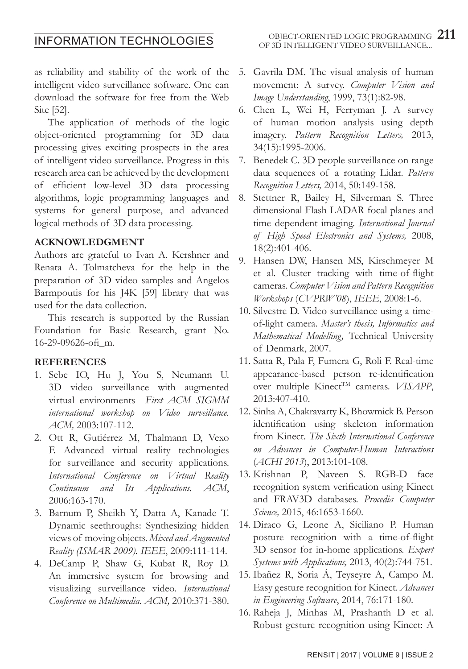# INFORMATION TECHNOLOGIES

as reliability and stability of the work of the intelligent video surveillance software. One can download the software for free from the Web Site [52].

The application of methods of the logic object-oriented programming for 3D data processing gives exciting prospects in the area of intelligent video surveillance. Progress in this research area can be achieved by the development of efficient low-level 3D data processing algorithms, logic programming languages and systems for general purpose, and advanced logical methods of 3D data processing.

#### **ACKNOWLEDGMENT**

Authors are grateful to Ivan A. Kershner and Renata A. Tolmatcheva for the help in the preparation of 3D video samples and Angelos Barmpoutis for his J4K [59] library that was used for the data collection.

This research is supported by the Russian Foundation for Basic Research, grant No. 16-29-09626-ofi\_m.

#### **REFERENCES**

- 1. Sebe IO, Hu J, You S, Neumann U. 3D video surveillance with augmented virtual environments *First ACM SIGMM international workshop on Video surveillance. ACM,* 2003:107-112.
- 2. Ott R, Gutiérrez M, Thalmann D, Vexo F. Advanced virtual reality technologies for surveillance and security applications. *International Conference on Virtual Reality Continuum and Its Applications. ACM*, 2006:163-170.
- 3. Barnum P, Sheikh Y, Datta A, Kanade T. Dynamic seethroughs: Synthesizing hidden views of moving objects. *Mixed and Augmented Reality (ISMAR 2009). IEEE*, 2009:111-114.
- 4. DeCamp P, Shaw G, Kubat R, Roy D. An immersive system for browsing and visualizing surveillance video. *International Conference on Multimedia. ACM,* 2010:371-380.
- 5. Gavrila DM. The visual analysis of human movement: A survey. *Computer Vision and Image Understanding*, 1999, 73(1):82-98.
- 6. Chen L, Wei H, Ferryman J. A survey of human motion analysis using depth imagery. *Pattern Recognition Letters,* 2013, 34(15):1995-2006.
- 7. Benedek C. 3D people surveillance on range data sequences of a rotating Lidar. *Pattern Recognition Letters,* 2014, 50:149-158.
- 8. Stettner R, Bailey H, Silverman S. Three dimensional Flash LADAR focal planes and time dependent imaging. *International Journal of High Speed Electronics and Systems,* 2008, 18(2):401-406.
- 9. Hansen DW, Hansen MS, Kirschmeyer M et al. Cluster tracking with time-of-flight cameras. *Computer Vision and Pattern Recognition Workshops* (*CVPRW'08*), *IEEE*, 2008:1-6.
- 10. Silvestre D. Video surveillance using a timeof-light camera. *Master's thesis, Informatics and Mathematical Modelling,* Technical University of Denmark, 2007.
- 11. Satta R, Pala F, Fumera G, Roli F. Real-time appearance-based person re-identification over multiple Kinect<sup>TM</sup> cameras. *VISAPP*, 2013:407-410.
- 12. Sinha A, Chakravarty K, Bhowmick B. Person identification using skeleton information from Kinect. *The Sixth International Conference on Advances in Computer-Human Interactions*  (*ACHI 2013*), 2013:101-108.
- 13. Krishnan P, Naveen S. RGB-D face recognition system verification using Kinect and FRAV3D databases. *Procedia Computer Science,* 2015, 46:1653-1660.
- 14. Diraco G, Leone A, Siciliano P. Human posture recognition with a time-of-flight 3D sensor for in-home applications. *Expert Systems with Applications,* 2013, 40(2):744-751.
- 15. Ibañez R, Soria Á, Teyseyre A, Campo M. Easy gesture recognition for Kinect. *Advances in Engineering Software*, 2014, 76:171-180.
- 16. Raheja J, Minhas M, Prashanth D et al. Robust gesture recognition using Kinect: A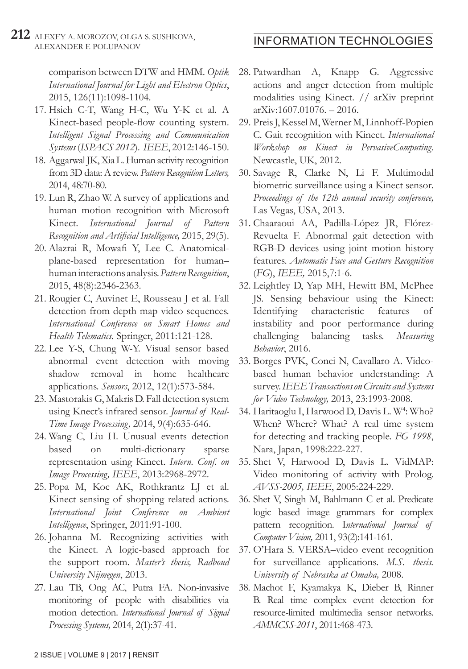#### **212** ALEXEY A. MOROZOV, OLGA S. SUSHKOVA, ALEXEY A. MOROZOV, OLGA S. SUSHKOVA, **INFORMATION TECHNOLOGIES**

comparison between DTW and HMM. *Optik International Journal for Light and Electron Optics*, 2015, 126(11):1098-1104.

- 17. Hsieh C-T, Wang H-C, Wu Y-K et al. A Kinect-based people-flow counting system. *Intelligent Signal Processing and Communication Systems* (*ISPACS 2012*). *IEEE*, 2012:146-150.
- 18. Aggarwal JK, Xia L. Human activity recognition from 3D data: A review. *Pattern Recognition Letters,* 2014, 48:70-80.
- 19. Lun R, Zhao W. A survey of applications and human motion recognition with Microsoft Kinect. *International Journal of Pattern Recognition and Artificial Intelligence,* 2015, 29(5).
- 20. Alazrai R, Mowafi Y, Lee C. Anatomicalplane-based representation for human– human interactions analysis. *Pattern Recognition*, 2015, 48(8):2346-2363.
- 21. Rougier C, Auvinet E, Rousseau J et al. Fall detection from depth map video sequences. *International Conference on Smart Homes and Health Telematics.* Springer, 2011:121-128.
- 22. Lee Y-S, Chung W-Y. Visual sensor based abnormal event detection with moving shadow removal in home healthcare applications. *Sensors*, 2012, 12(1):573-584.
- 23. Mastorakis G, Makris D. Fall detection system using Knect's infrared sensor. *Journal of Real-Time Image Processing,* 2014, 9(4):635-646.
- 24. Wang C, Liu H. Unusual events detection based on multi-dictionary sparse representation using Kinect. *Intern. Conf. on Image Processing, IEEE*, 2013:2968-2972.
- 25. Popa M, Koc AK, Rothkrantz LJ et al. Kinect sensing of shopping related actions. *International Joint Conference on Ambient Intelligence*, Springer, 2011:91-100.
- 26. Johanna M. Recognizing activities with the Kinect. A logic-based approach for the support room. *Master's thesis, Radboud University Nijmegen*, 2013.
- 27. Lau TB, Ong AC, Putra FA. Non-invasive monitoring of people with disabilities via motion detection. *International Journal of Signal Processing Systems,* 2014, 2(1):37-41.
- 28. Patwardhan A, Knapp G. Aggressive actions and anger detection from multiple modalities using Kinect. // arXiv preprint arXiv:1607.01076. – 2016.
- 29. Preis J, Kessel M, Werner M, Linnhoff-Popien C. Gait recognition with Kinect. *International Workshop on Kinect in PervasiveComputing*. Newcastle, UK, 2012.
- 30. Savage R, Clarke N, Li F. Multimodal biometric surveillance using a Kinect sensor. *Proceedings of the 12th annual security conference,* Las Vegas, USA, 2013.
- 31. Chaaraoui AA, Padilla-López JR, Flórez-Revuelta F. Abnormal gait detection with RGB-D devices using joint motion history features. *Automatic Face and Gesture Recognition*  (*FG*), *IEEE,* 2015,7:1-6.
- 32. Leightley D, Yap MH, Hewitt BM, McPhee JS. Sensing behaviour using the Kinect: Identifying characteristic features of instability and poor performance during challenging balancing tasks. *Measuring Behavior*, 2016.
- 33. Borges PVK, Conci N, Cavallaro A. Videobased human behavior understanding: A survey. *IEEE Transactions on Circuits and Systems for Video Technology,* 2013, 23:1993-2008.
- 34. Haritaoglu I, Harwood D, Davis L. W<sup>4</sup>: Who? When? Where? What? A real time system for detecting and tracking people. *FG 1998*, Nara, Japan, 1998:222-227.
- 35. Shet V, Harwood D, Davis L. VidMAP: Video monitoring of activity with Prolog. *AVSS-2005, IEEE*, 2005:224-229.
- 36. Shet V, Singh M, Bahlmann C et al. Predicate logic based image grammars for complex pattern recognition. I*nternational Journal of Computer Vision,* 2011, 93(2):141-161.
- 37. O'Hara S. VERSA–video event recognition for surveillance applications. *M.S. thesis. University of Nebraska at Omaha,* 2008.
- 38. Machot F, Kyamakya K, Dieber B, Rinner B. Real time complex event detection for resource-limited multimedia sensor networks. *AMMCSS-2011*, 2011:468-473.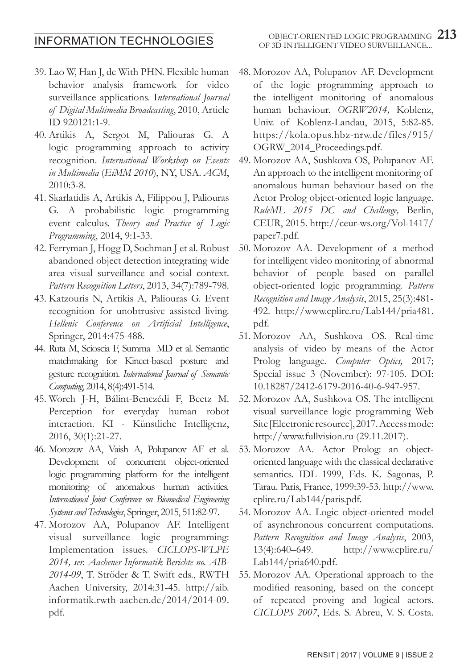# INFORMATION TECHNOLOGIES

- 39. Lao W, Han J, de With PHN. Flexible human behavior analysis framework for video surveillance applications. I*nternational Journal of Digital Multimedia Broadcasting*, 2010, Article ID 920121:1-9.
- 40. Artikis A, Sergot M, Paliouras G. A logic programming approach to activity recognition. *International Workshop on Events in Multimedia* (*EiMM 2010*), NY, USA. *ACM*, 2010:3-8.
- 41. Skarlatidis A, Artikis A, Filippou J, Paliouras G. A probabilistic logic programming event calculus. *Theory and Practice of Logic Programming*, 2014, 9:1-33.
- 42. Ferryman J, Hogg D, Sochman J et al. Robust abandoned object detection integrating wide area visual surveillance and social context. *Pattern Recognition Letters*, 2013, 34(7):789-798.
- 43. Katzouris N, Artikis A, Paliouras G. Event recognition for unobtrusive assisted living. *Hellenic Conference on Artificial Intelligence*, Springer, 2014:475-488.
- 44. Ruta M, Scioscia F, Summa MD et al. Semantic matchmaking for Kinect-based posture and gesture recognition. *International Journal of Semantic Computing*, 2014, 8(4):491-514.
- 45. Worch J-H, Bálint-Benczédi F, Beetz M. Perception for everyday human robot interaction. KI - Künstliche Intelligenz, 2016, 30(1):21-27.
- 46. Morozov AA, Vaish A, Polupanov AF et al. Development of concurrent object-oriented logic programming platform for the intelligent monitoring of anomalous human activities. *International Joint Conference on Biomedical Engineering Systems and Technologies*, Springer, 2015, 511:82-97.
- 47. Morozov AA, Polupanov AF. Intelligent visual surveillance logic programming: Implementation issues. *CICLOPS-WLPE 2014, ser. Aachener Informatik Berichte no. AIB-2014-09*, T. Ströder & T. Swift eds., RWTH Aachen University, 2014:31-45. http://aib. informatik.rwth-aachen.de/2014/2014-09. pdf.
- OBJECT-ORIENTED LOGIC PROGRAMMING 213 OF 3D INTELLIGENT VIDEO SURVEILLANCE...
- 48. Morozov AA, Polupanov AF. Development of the logic programming approach to the intelligent monitoring of anomalous human behaviour. *OGRW2014,* Koblenz, Univ. of Koblenz-Landau, 2015, 5:82-85. https://kola.opus.hbz-nrw.de/files/915/ OGRW\_2014\_Proceedings.pdf.
- 49. Morozov AA, Sushkova OS, Polupanov AF. An approach to the intelligent monitoring of anomalous human behaviour based on the Actor Prolog object-oriented logic language. *RuleML 2015 DC and Challenge,* Berlin, CEUR, 2015. http://ceur-ws.org/Vol-1417/ paper7.pdf.
- 50. Morozov AA. Development of a method for intelligent video monitoring of abnormal behavior of people based on parallel object-oriented logic programming. *Pattern Recognition and Image Analysis*, 2015, 25(3):481- 492. http://www.cplire.ru/Lab144/pria481. pdf.
- 51. Morozov AA, Sushkova OS. Real-time analysis of video by means of the Actor Prolog language. *Computer Optics,* 2017; Special issue 3 (November): 97-105. DOI: 10.18287/2412-6179-2016-40-6-947-957.
- 52. Morozov AA, Sushkova OS. The intelligent visual surveillance logic programming Web Site [Electronic resource], 2017. Access mode: http://www.fullvision.ru (29.11.2017).
- 53. Morozov AA. Actor Prolog: an objectoriented language with the classical declarative semantics. IDL 1999, Eds. K. Sagonas, P. Tarau. Paris, France, 1999:39-53. http://www. cplire.ru/Lab144/paris.pdf.
- 54. Morozov AA. Logic object-oriented model of asynchronous concurrent computations. *Pattern Recognition and Image Analysis*, 2003, 13(4):640–649. http://www.cplire.ru/  $Lab144/pria640.pdf.$
- 55. Morozov AA. Operational approach to the modified reasoning, based on the concept of repeated proving and logical actors. *CICLOPS 2007*, Eds. S. Abreu, V. S. Costa.